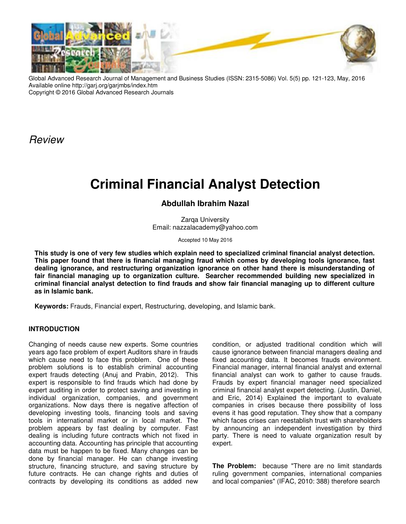

Global Advanced Research Journal of Management and Business Studies (ISSN: 2315-5086) Vol. 5(5) pp. 121-123, May, 2016 Available online http://garj.org/garjmbs/index.htm Copyright © 2016 Global Advanced Research Journals

Review

# **Criminal Financial Analyst Detection**

## **Abdullah Ibrahim Nazal**

Zarga University Email: nazzalacademy@yahoo.com

Accepted 10 May 2016

**This study is one of very few studies which explain need to specialized criminal financial analyst detection. This paper found that there is financial managing fraud which comes by developing tools ignorance, fast dealing ignorance, and restructuring organization ignorance on other hand there is misunderstanding of fair financial managing up to organization culture. Searcher recommended building new specialized in criminal financial analyst detection to find frauds and show fair financial managing up to different culture as in Islamic bank.** 

**Keywords:** Frauds, Financial expert, Restructuring, developing, and Islamic bank.

## **INTRODUCTION**

Changing of needs cause new experts. Some countries years ago face problem of expert Auditors share in frauds which cause need to face this problem. One of these problem solutions is to establish criminal accounting expert frauds detecting (Anuj and Prabin, 2012). This expert is responsible to find frauds which had done by expert auditing in order to protect saving and investing in individual organization, companies, and government organizations. Now days there is negative affection of developing investing tools, financing tools and saving tools in international market or in local market. The problem appears by fast dealing by computer. Fast dealing is including future contracts which not fixed in accounting data. Accounting has principle that accounting data must be happen to be fixed. Many changes can be done by financial manager. He can change investing structure, financing structure, and saving structure by future contracts. He can change rights and duties of contracts by developing its conditions as added new

condition, or adjusted traditional condition which will cause ignorance between financial managers dealing and fixed accounting data. It becomes frauds environment. Financial manager, internal financial analyst and external financial analyst can work to gather to cause frauds. Frauds by expert financial manager need specialized criminal financial analyst expert detecting. (Justin, Daniel, and Eric, 2014) Explained the important to evaluate companies in crises because there possibility of loss evens it has good reputation. They show that a company which faces crises can reestablish trust with shareholders by announcing an independent investigation by third party. There is need to valuate organization result by expert.

**The Problem:** because "There are no limit standards ruling government companies, international companies and local companies" (IFAC, 2010: 388) therefore search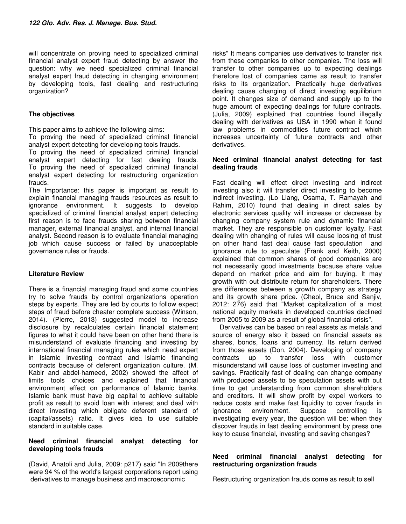will concentrate on proving need to specialized criminal financial analyst expert fraud detecting by answer the question: why we need specialized criminal financial analyst expert fraud detecting in changing environment by developing tools, fast dealing and restructuring organization?

## **The objectives**

This paper aims to achieve the following aims:

To proving the need of specialized criminal financial analyst expert detecting for developing tools frauds.

To proving the need of specialized criminal financial analyst expert detecting for fast dealing frauds. To proving the need of specialized criminal financial analyst expert detecting for restructuring organization frauds.

The Importance: this paper is important as result to explain financial managing frauds resources as result to ignorance environment. It suggests to develop specialized of criminal financial analyst expert detecting first reason is to face frauds sharing between financial manager, external financial analyst, and internal financial analyst. Second reason is to evaluate financial managing job which cause success or failed by unacceptable governance rules or frauds.

## **Literature Review**

There is a financial managing fraud and some countries try to solve frauds by control organizations operation steps by experts. They are led by courts to follow expect steps of fraud before cheater complete success (Winson, 2014). (Pierre, 2013) suggested model to increase disclosure by recalculates certain financial statement figures to what it could have been on other hand there is misunderstand of evaluate financing and investing by international financial managing rules which need expert in Islamic investing contract and Islamic financing contracts because of deferent organization culture. (M. Kabir and abdel-hameed, 2002) showed the affect of limits tools choices and explained that financial environment effect on performance of Islamic banks. Islamic bank must have big capital to achieve suitable profit as result to avoid loan with interest and deal with direct investing which obligate deferent standard of (capital/assets) ratio. It gives idea to use suitable standard in suitable case.

#### **Need criminal financial analyst detecting for developing tools frauds**

(David, Anatoli and Julia, 2009: p217) said "In 2009there were 94 % of the world's largest corporations report using derivatives to manage business and macroeconomic

risks" It means companies use derivatives to transfer risk from these companies to other companies. The loss will transfer to other companies up to expecting dealings therefore lost of companies came as result to transfer risks to its organization. Practically huge derivatives dealing cause changing of direct investing equilibrium point. It changes size of demand and supply up to the huge amount of expecting dealings for future contracts. (Julia, 2009) explained that countries found illegally dealing with derivatives as USA in 1990 when it found law problems in commodities future contract which increases uncertainty of future contracts and other derivatives.

#### **Need criminal financial analyst detecting for fast dealing frauds**

Fast dealing will effect direct investing and indirect investing also it will transfer direct investing to become indirect investing. (Lo Liang, Osama, T. Ramayah and Rahim, 2010) found that dealing in direct sales by electronic services quality will increase or decrease by changing company system rule and dynamic financial market. They are responsible on customer loyalty. Fast dealing with changing of rules will cause loosing of trust on other hand fast deal cause fast speculation and ignorance rule to speculate (Frank and Keith, 2000) explained that common shares of good companies are not necessarily good investments because share value depend on market price and aim for buying. It may growth with out distribute return for shareholders. There are differences between a growth company as strategy and its growth share price. (Cheol, Bruce and Sanjiv, 2012: 276) said that "Market capitalization of a most national equity markets in developed countries declined from 2005 to 2009 as a result of global financial crisis".

 Derivatives can be based on real assets as metals and source of energy also it based on financial assets as shares, bonds, loans and currency. Its return derived from those assets (Don, 2004). Developing of company contracts up to transfer loss with customer misunderstand will cause loss of customer investing and savings. Practically fast of dealing can change company with produced assets to be speculation assets with out time to get understanding from common shareholders and creditors. It will show profit by expel workers to reduce costs and make fast liquidity to cover frauds in ignorance environment. Suppose controlling is investigating every year, the question will be: when they discover frauds in fast dealing environment by press one key to cause financial, investing and saving changes?

#### **Need criminal financial analyst detecting for restructuring organization frauds**

Restructuring organization frauds come as result to sell